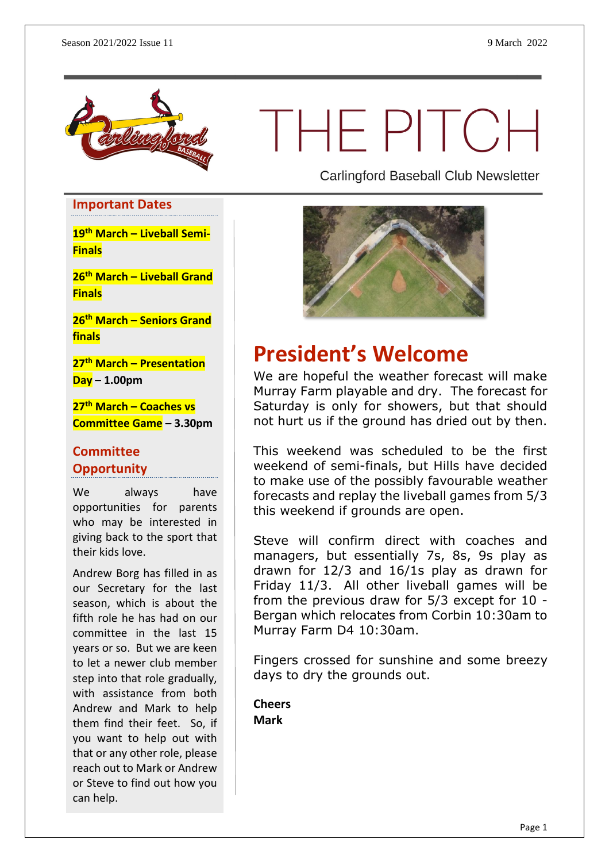

# THEPITCH

**Important Dates**

**19th March – Liveball Semi-Finals**

**26th March – Liveball Grand Finals**

**26th March – Seniors Grand finals**

**27th March – Presentation Day – 1.00pm**

**27th March – Coaches vs Committee Game – 3.30pm**

#### **Committee Opportunity**

We always have opportunities for parents who may be interested in giving back to the sport that their kids love.

Andrew Borg has filled in as our Secretary for the last season, which is about the fifth role he has had on our committee in the last 15 years or so. But we are keen to let a newer club member step into that role gradually, with assistance from both Andrew and Mark to help them find their feet. So, if you want to help out with that or any other role, please reach out to Mark or Andrew or Steve to find out how you can help.

**Carlingford Baseball Club Newsletter** 



### **President's Welcome**

We are hopeful the weather forecast will make Murray Farm playable and dry. The forecast for Saturday is only for showers, but that should not hurt us if the ground has dried out by then.

This weekend was scheduled to be the first weekend of semi-finals, but Hills have decided to make use of the possibly favourable weather forecasts and replay the liveball games from 5/3 this weekend if grounds are open.

Steve will confirm direct with coaches and managers, but essentially 7s, 8s, 9s play as drawn for 12/3 and 16/1s play as drawn for Friday 11/3. All other liveball games will be from the previous draw for 5/3 except for 10 - Bergan which relocates from Corbin 10:30am to Murray Farm D4 10:30am.

Fingers crossed for sunshine and some breezy days to dry the grounds out.

**Cheers Mark**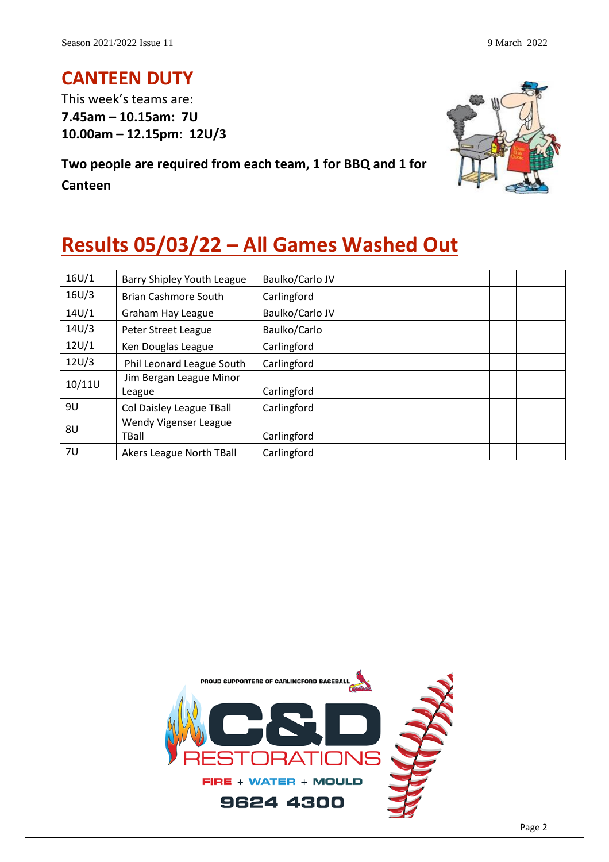#### **CANTEEN DUTY**

This week's teams are: **7.45am – 10.15am: 7U 10.00am – 12.15pm**: **12U/3**

**Two people are required from each team, 1 for BBQ and 1 for Canteen**



# **Results 05/03/22 – All Games Washed Out**

| 16U/1  | Barry Shipley Youth League        | Baulko/Carlo JV |
|--------|-----------------------------------|-----------------|
| 16U/3  | <b>Brian Cashmore South</b>       | Carlingford     |
| 14U/1  | Graham Hay League                 | Baulko/Carlo JV |
| 14U/3  | Peter Street League               | Baulko/Carlo    |
| 12U/1  | Ken Douglas League                | Carlingford     |
| 12U/3  | Phil Leonard League South         | Carlingford     |
| 10/11U | Jim Bergan League Minor<br>League | Carlingford     |
| 9U     | Col Daisley League TBall          | Carlingford     |
| 8U     | Wendy Vigenser League<br>TBall    | Carlingford     |
| 7U     | Akers League North TBall          | Carlingford     |

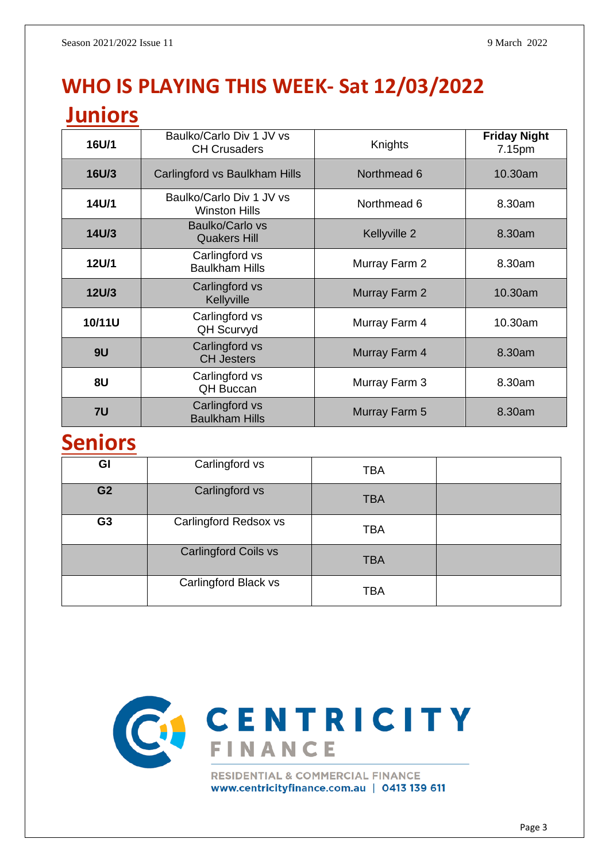# **WHO IS PLAYING THIS WEEK- Sat 12/03/2022**

#### **Juniors**

| 16U/1        | Baulko/Carlo Div 1 JV vs<br><b>CH Crusaders</b>  | Knights       | <b>Friday Night</b><br>7.15pm |
|--------------|--------------------------------------------------|---------------|-------------------------------|
| <b>16U/3</b> | Carlingford vs Baulkham Hills                    | Northmead 6   | 10.30am                       |
| 14U/1        | Baulko/Carlo Div 1 JV vs<br><b>Winston Hills</b> | Northmead 6   | 8.30am                        |
| 14U/3        | <b>Baulko/Carlo vs</b><br><b>Quakers Hill</b>    | Kellyville 2  | 8.30am                        |
| 12U/1        | Carlingford vs<br><b>Baulkham Hills</b>          | Murray Farm 2 | 8.30am                        |
| <b>12U/3</b> | Carlingford vs<br>Kellyville                     | Murray Farm 2 | 10.30am                       |
| 10/11U       | Carlingford vs<br><b>QH Scurvyd</b>              | Murray Farm 4 | 10.30am                       |
| 9U           | Carlingford vs<br><b>CH Jesters</b>              | Murray Farm 4 | 8.30am                        |
| 8U           | Carlingford vs<br><b>QH Buccan</b>               | Murray Farm 3 | 8.30am                        |
| 7U           | Carlingford vs<br><b>Baulkham Hills</b>          | Murray Farm 5 | 8.30am                        |

#### **Seniors**

| GI             | Carlingford vs              | <b>TBA</b> |  |
|----------------|-----------------------------|------------|--|
| G <sub>2</sub> | Carlingford vs              | <b>TBA</b> |  |
| G <sub>3</sub> | Carlingford Redsox vs       | <b>TBA</b> |  |
|                | <b>Carlingford Coils vs</b> | <b>TBA</b> |  |
|                | Carlingford Black vs        | <b>TBA</b> |  |



www.centricityfinance.com.au | 0413 139 611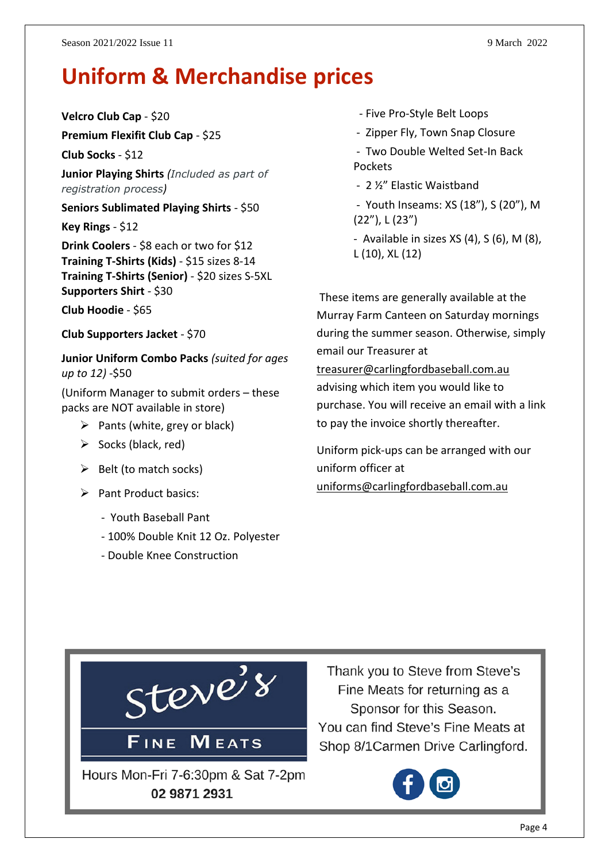# **Uniform & Merchandise prices**

**Velcro Club Cap** - \$20

**Premium Flexifit Club Cap** - \$25

**Club Socks** - \$12

**Junior Playing Shirts** *(Included as part of registration process)*

**Seniors Sublimated Playing Shirts** - \$50

**Key Rings** - \$12

**Drink Coolers** - \$8 each or two for \$12 **Training T-Shirts (Kids)** - \$15 sizes 8-14 **Training T-Shirts (Senior)** - \$20 sizes S-5XL **Supporters Shirt** - \$30

**Club Hoodie** - \$65

**Club Supporters Jacket** - \$70

**Junior Uniform Combo Packs** *(suited for ages up to 12)* -\$50

(Uniform Manager to submit orders – these packs are NOT available in store)

- $\triangleright$  Pants (white, grey or black)
- $\triangleright$  Socks (black, red)
- $\triangleright$  Belt (to match socks)
- ➢ Pant Product basics:
	- Youth Baseball Pant
	- 100% Double Knit 12 Oz. Polyester
	- Double Knee Construction
- Five Pro-Style Belt Loops
- Zipper Fly, Town Snap Closure
- Two Double Welted Set-In Back Pockets
- 2 ½" Elastic Waistband
- Youth Inseams: XS (18"), S (20"), M (22"), L (23")
- Available in sizes  $XS(4)$ ,  $S(6)$ ,  $M(8)$ , L (10), XL (12)

These items are generally available at the Murray Farm Canteen on Saturday mornings during the summer season. Otherwise, simply email our Treasurer at [treasurer@carlingfordbaseball.com.au](mailto:treasurer@carlingfordbaseball.com.au) advising which item you would like to purchase. You will receive an email with a link

Uniform pick-ups can be arranged with our uniform officer at [uniforms@carlingfordbaseball.com.au](mailto:uniforms@carlingfordbaseball.com.au)

to pay the invoice shortly thereafter.



Thank you to Steve from Steve's Fine Meats for returning as a Sponsor for this Season. You can find Steve's Fine Meats at Shop 8/1 Carmen Drive Carlingford.